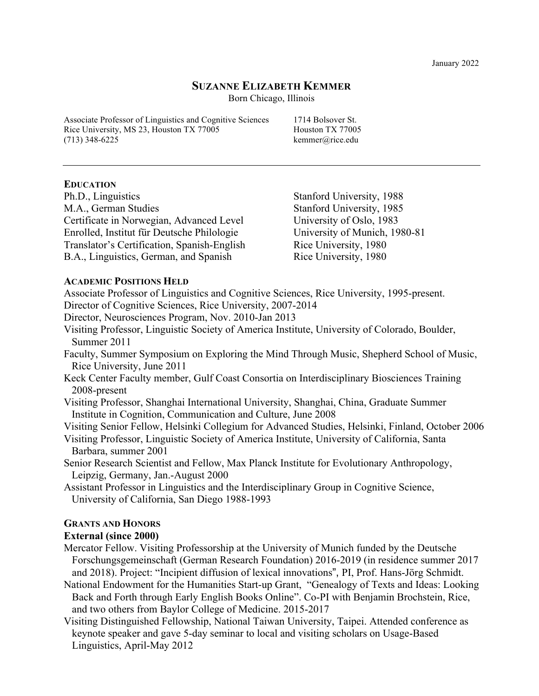January 2022

### **SUZANNE ELIZABETH KEMMER**

Born Chicago, Illinois

Associate Professor of Linguistics and Cognitive Sciences 1714 Bolsover St. Rice University, MS 23, Houston TX 77005 Houston TX 77005  $(713)$  348-6225 kemmer@rice.edu

### **EDUCATION**

Ph.D., Linguistics Stanford University, 1988 M.A., German Studies Stanford University, 1985 Certificate in Norwegian, Advanced Level University of Oslo, 1983 Enrolled, Institut für Deutsche Philologie University of Munich, 1980-81 Translator's Certification, Spanish-English Rice University, 1980 B.A., Linguistics, German, and Spanish Rice University, 1980

### **ACADEMIC POSITIONS HELD**

Associate Professor of Linguistics and Cognitive Sciences, Rice University, 1995-present. Director of Cognitive Sciences, Rice University, 2007-2014

Director, Neurosciences Program, Nov. 2010-Jan 2013

- Visiting Professor, Linguistic Society of America Institute, University of Colorado, Boulder, Summer 2011
- Faculty, Summer Symposium on Exploring the Mind Through Music, Shepherd School of Music, Rice University, June 2011
- Keck Center Faculty member, Gulf Coast Consortia on Interdisciplinary Biosciences Training 2008-present
- Visiting Professor, Shanghai International University, Shanghai, China, Graduate Summer Institute in Cognition, Communication and Culture, June 2008

Visiting Senior Fellow, Helsinki Collegium for Advanced Studies, Helsinki, Finland, October 2006

- Visiting Professor, Linguistic Society of America Institute, University of California, Santa Barbara, summer 2001
- Senior Research Scientist and Fellow, Max Planck Institute for Evolutionary Anthropology, Leipzig, Germany, Jan.-August 2000
- Assistant Professor in Linguistics and the Interdisciplinary Group in Cognitive Science, University of California, San Diego 1988-1993

# **GRANTS AND HONORS**

## **External (since 2000)**

Mercator Fellow. Visiting Professorship at the University of Munich funded by the Deutsche Forschungsgemeinschaft (German Research Foundation) 2016-2019 (in residence summer 2017 and 2018). Project: "Incipient diffusion of lexical innovations", PI, Prof. Hans-Jörg Schmidt.

- National Endowment for the Humanities Start-up Grant, "Genealogy of Texts and Ideas: Looking Back and Forth through Early English Books Online". Co-PI with Benjamin Brochstein, Rice, and two others from Baylor College of Medicine. 2015-2017
- Visiting Distinguished Fellowship, National Taiwan University, Taipei. Attended conference as keynote speaker and gave 5-day seminar to local and visiting scholars on Usage-Based Linguistics, April-May 2012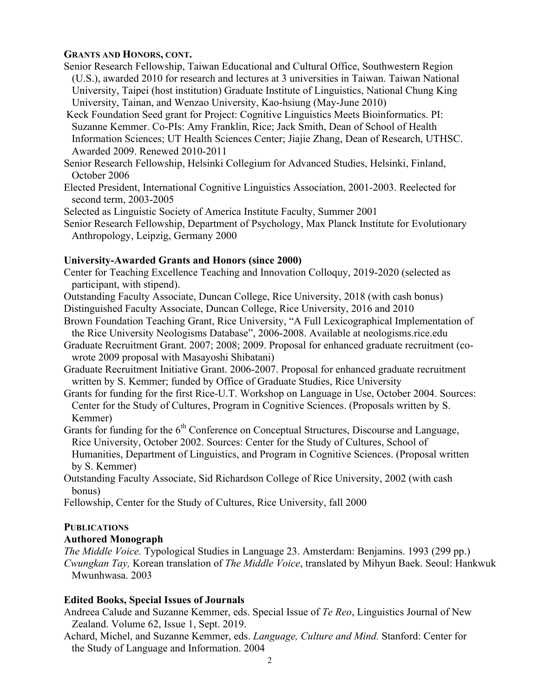## **GRANTS AND HONORS, CONT.**

- Senior Research Fellowship, Taiwan Educational and Cultural Office, Southwestern Region (U.S.), awarded 2010 for research and lectures at 3 universities in Taiwan. Taiwan National University, Taipei (host institution) Graduate Institute of Linguistics, National Chung King University, Tainan, and Wenzao University, Kao-hsiung (May-June 2010)
- Keck Foundation Seed grant for Project: Cognitive Linguistics Meets Bioinformatics. PI: Suzanne Kemmer. Co-PIs: Amy Franklin, Rice; Jack Smith, Dean of School of Health Information Sciences; UT Health Sciences Center; Jiajie Zhang, Dean of Research, UTHSC. Awarded 2009. Renewed 2010-2011

Senior Research Fellowship, Helsinki Collegium for Advanced Studies, Helsinki, Finland, October 2006

Elected President, International Cognitive Linguistics Association, 2001-2003. Reelected for second term, 2003-2005

Selected as Linguistic Society of America Institute Faculty, Summer 2001

Senior Research Fellowship, Department of Psychology, Max Planck Institute for Evolutionary Anthropology, Leipzig, Germany 2000

## **University-Awarded Grants and Honors (since 2000)**

Center for Teaching Excellence Teaching and Innovation Colloquy, 2019-2020 (selected as participant, with stipend).

Outstanding Faculty Associate, Duncan College, Rice University, 2018 (with cash bonus) Distinguished Faculty Associate, Duncan College, Rice University, 2016 and 2010

Brown Foundation Teaching Grant, Rice University, "A Full Lexicographical Implementation of the Rice University Neologisms Database", 2006-2008. Available at neologisms.rice.edu

- Graduate Recruitment Grant. 2007; 2008; 2009. Proposal for enhanced graduate recruitment (cowrote 2009 proposal with Masayoshi Shibatani)
- Graduate Recruitment Initiative Grant. 2006-2007. Proposal for enhanced graduate recruitment written by S. Kemmer; funded by Office of Graduate Studies, Rice University
- Grants for funding for the first Rice-U.T. Workshop on Language in Use, October 2004. Sources: Center for the Study of Cultures, Program in Cognitive Sciences. (Proposals written by S. Kemmer)
- Grants for funding for the 6<sup>th</sup> Conference on Conceptual Structures, Discourse and Language, Rice University, October 2002. Sources: Center for the Study of Cultures, School of Humanities, Department of Linguistics, and Program in Cognitive Sciences. (Proposal written by S. Kemmer)

Outstanding Faculty Associate, Sid Richardson College of Rice University, 2002 (with cash bonus)

Fellowship, Center for the Study of Cultures, Rice University, fall 2000

# **PUBLICATIONS**

# **Authored Monograph**

*The Middle Voice.* Typological Studies in Language 23. Amsterdam: Benjamins. 1993 (299 pp.) *Cwungkan Tay,* Korean translation of *The Middle Voice*, translated by Mihyun Baek. Seoul: Hankwuk Mwunhwasa. 2003

# **Edited Books, Special Issues of Journals**

Andreea Calude and Suzanne Kemmer, eds. Special Issue of *Te Reo*, Linguistics Journal of New Zealand. Volume 62, Issue 1, Sept. 2019.

Achard, Michel, and Suzanne Kemmer, eds. *Language, Culture and Mind.* Stanford: Center for the Study of Language and Information. 2004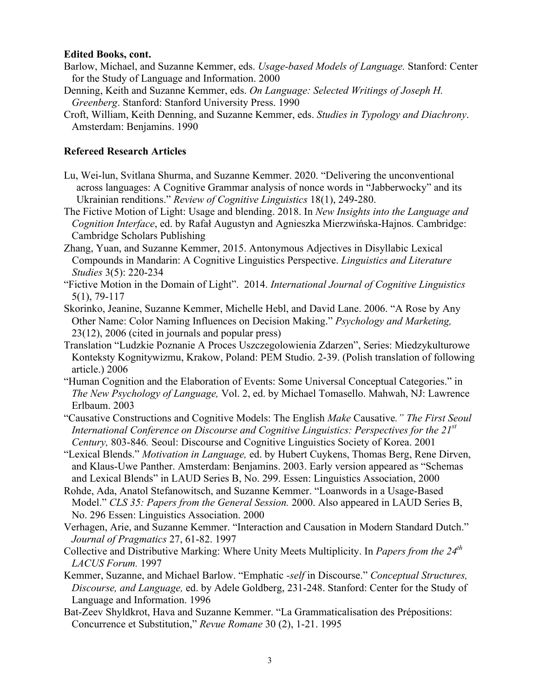### **Edited Books, cont.**

- Barlow, Michael, and Suzanne Kemmer, eds. *Usage-based Models of Language.* Stanford: Center for the Study of Language and Information. 2000
- Denning, Keith and Suzanne Kemmer, eds. *On Language: Selected Writings of Joseph H. Greenberg*. Stanford: Stanford University Press. 1990
- Croft, William, Keith Denning, and Suzanne Kemmer, eds. *Studies in Typology and Diachrony*. Amsterdam: Benjamins. 1990

## **Refereed Research Articles**

- Lu, Wei-lun, Svitlana Shurma, and Suzanne Kemmer. 2020. "Delivering the unconventional across languages: A Cognitive Grammar analysis of nonce words in "Jabberwocky" and its Ukrainian renditions." *Review of Cognitive Linguistics* 18(1), 249-280.
- The Fictive Motion of Light: Usage and blending. 2018. In *New Insights into the Language and Cognition Interface*, ed. by Rafał Augustyn and Agnieszka Mierzwińska-Hajnos. Cambridge: Cambridge Scholars Publishing
- Zhang, Yuan, and Suzanne Kemmer, 2015. Antonymous Adjectives in Disyllabic Lexical Compounds in Mandarin: A Cognitive Linguistics Perspective. *Linguistics and Literature Studies* 3(5): 220-234
- "Fictive Motion in the Domain of Light". 2014. *International Journal of Cognitive Linguistics* 5(1), 79-117
- Skorinko, Jeanine, Suzanne Kemmer, Michelle Hebl, and David Lane. 2006. "A Rose by Any Other Name: Color Naming Influences on Decision Making." *Psychology and Marketing,*  23(12), 2006 (cited in journals and popular press)
- Translation "Ludzkie Poznanie A Proces Uszczegolowienia Zdarzen", Series: Miedzykulturowe Konteksty Kognitywizmu, Krakow, Poland: PEM Studio. 2-39. (Polish translation of following article.) 2006
- "Human Cognition and the Elaboration of Events: Some Universal Conceptual Categories." in *The New Psychology of Language,* Vol. 2, ed. by Michael Tomasello. Mahwah, NJ: Lawrence Erlbaum. 2003
- "Causative Constructions and Cognitive Models: The English *Make* Causative*." The First Seoul International Conference on Discourse and Cognitive Linguistics: Perspectives for the 21st Century,* 803-846*.* Seoul: Discourse and Cognitive Linguistics Society of Korea. 2001
- "Lexical Blends." *Motivation in Language,* ed. by Hubert Cuykens, Thomas Berg, Rene Dirven, and Klaus-Uwe Panther. Amsterdam: Benjamins. 2003. Early version appeared as "Schemas and Lexical Blends" in LAUD Series B, No. 299. Essen: Linguistics Association, 2000
- Rohde, Ada, Anatol Stefanowitsch, and Suzanne Kemmer. "Loanwords in a Usage-Based Model." *CLS 35: Papers from the General Session.* 2000. Also appeared in LAUD Series B, No. 296 Essen: Linguistics Association. 2000
- Verhagen, Arie, and Suzanne Kemmer. "Interaction and Causation in Modern Standard Dutch." *Journal of Pragmatics* 27, 61-82. 1997
- Collective and Distributive Marking: Where Unity Meets Multiplicity. In *Papers from the 24th LACUS Forum.* 1997
- Kemmer, Suzanne, and Michael Barlow. "Emphatic *-self* in Discourse." *Conceptual Structures, Discourse, and Language,* ed. by Adele Goldberg, 231-248. Stanford: Center for the Study of Language and Information. 1996
- Bat-Zeev Shyldkrot, Hava and Suzanne Kemmer. "La Grammaticalisation des Prépositions: Concurrence et Substitution," *Revue Romane* 30 (2), 1-21. 1995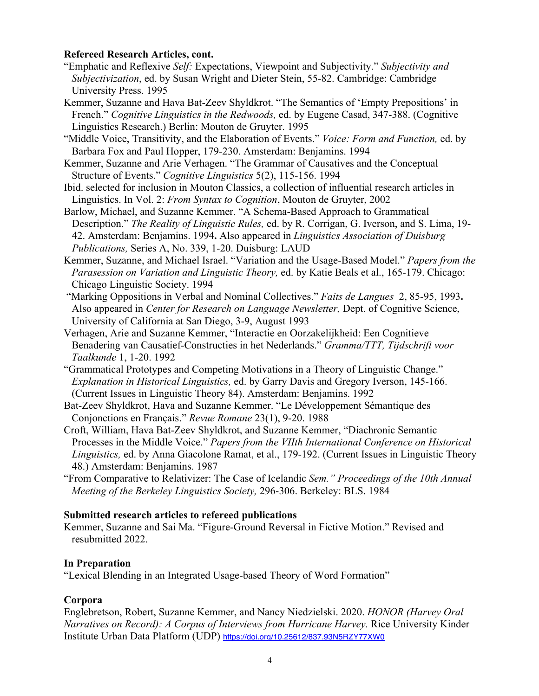## **Refereed Research Articles, cont.**

- "Emphatic and Reflexive *Self:* Expectations, Viewpoint and Subjectivity." *Subjectivity and Subjectivization*, ed. by Susan Wright and Dieter Stein, 55-82. Cambridge: Cambridge University Press. 1995
- Kemmer, Suzanne and Hava Bat-Zeev Shyldkrot. "The Semantics of 'Empty Prepositions' in French." *Cognitive Linguistics in the Redwoods,* ed. by Eugene Casad, 347-388. (Cognitive Linguistics Research.) Berlin: Mouton de Gruyter. 1995
- "Middle Voice, Transitivity, and the Elaboration of Events." *Voice: Form and Function,* ed. by Barbara Fox and Paul Hopper, 179-230. Amsterdam: Benjamins. 1994

Kemmer, Suzanne and Arie Verhagen. "The Grammar of Causatives and the Conceptual Structure of Events." *Cognitive Linguistics* 5(2), 115-156. 1994

- Ibid. selected for inclusion in Mouton Classics, a collection of influential research articles in Linguistics. In Vol. 2: *From Syntax to Cognition*, Mouton de Gruyter, 2002
- Barlow, Michael, and Suzanne Kemmer. "A Schema-Based Approach to Grammatical Description." *The Reality of Linguistic Rules,* ed. by R. Corrigan, G. Iverson, and S. Lima, 19- 42. Amsterdam: Benjamins. 1994**.** Also appeared in *Linguistics Association of Duisburg Publications,* Series A, No. 339, 1-20. Duisburg: LAUD
- Kemmer, Suzanne, and Michael Israel. "Variation and the Usage-Based Model." *Papers from the Parasession on Variation and Linguistic Theory,* ed. by Katie Beals et al., 165-179. Chicago: Chicago Linguistic Society. 1994
- "Marking Oppositions in Verbal and Nominal Collectives." *Faits de Langues* 2, 85-95, 1993**.**  Also appeared in *Center for Research on Language Newsletter,* Dept. of Cognitive Science, University of California at San Diego, 3-9, August 1993
- Verhagen, Arie and Suzanne Kemmer, "Interactie en Oorzakelijkheid: Een Cognitieve Benadering van Causatief-Constructies in het Nederlands." *Gramma/TTT, Tijdschrift voor Taalkunde* 1, 1-20. 1992
- "Grammatical Prototypes and Competing Motivations in a Theory of Linguistic Change." *Explanation in Historical Linguistics,* ed. by Garry Davis and Gregory Iverson, 145-166. (Current Issues in Linguistic Theory 84). Amsterdam: Benjamins. 1992
- Bat-Zeev Shyldkrot, Hava and Suzanne Kemmer. "Le Développement Sémantique des Conjonctions en Français." *Revue Romane* 23(1), 9-20. 1988
- Croft, William, Hava Bat-Zeev Shyldkrot, and Suzanne Kemmer, "Diachronic Semantic Processes in the Middle Voice." *Papers from the VIIth International Conference on Historical Linguistics,* ed. by Anna Giacolone Ramat, et al., 179-192. (Current Issues in Linguistic Theory 48.) Amsterdam: Benjamins. 1987
- "From Comparative to Relativizer: The Case of Icelandic *Sem." Proceedings of the 10th Annual Meeting of the Berkeley Linguistics Society,* 296-306. Berkeley: BLS. 1984

# **Submitted research articles to refereed publications**

Kemmer, Suzanne and Sai Ma. "Figure-Ground Reversal in Fictive Motion." Revised and resubmitted 2022.

# **In Preparation**

"Lexical Blending in an Integrated Usage-based Theory of Word Formation"

# **Corpora**

Englebretson, Robert, Suzanne Kemmer, and Nancy Niedzielski. 2020. *HONOR (Harvey Oral Narratives on Record): A Corpus of Interviews from Hurricane Harvey.* Rice University Kinder Institute Urban Data Platform (UDP) https://doi.org/10.25612/837.93N5RZY77XW0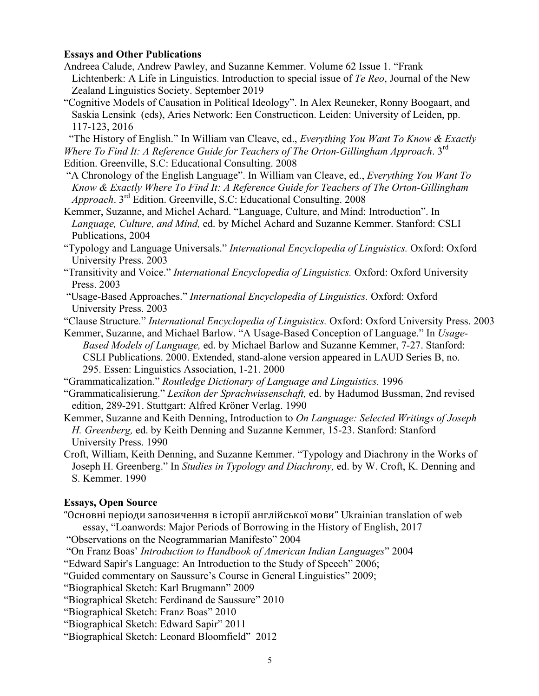### **Essays and Other Publications**

- Andreea Calude, Andrew Pawley, and Suzanne Kemmer. Volume 62 Issue 1. "Frank Lichtenberk: A Life in Linguistics. Introduction to special issue of *Te Reo*, Journal of the New Zealand Linguistics Society. September 2019
- "Cognitive Models of Causation in Political Ideology". In Alex Reuneker, Ronny Boogaart, and Saskia Lensink (eds), Aries Network: Een Constructicon. Leiden: University of Leiden, pp. 117-123, 2016

"The History of English." In William van Cleave, ed., *Everything You Want To Know & Exactly Where To Find It: A Reference Guide for Teachers of The Orton-Gillingham Approach*. 3rd

- Edition. Greenville, S.C: Educational Consulting. 2008
- "A Chronology of the English Language". In William van Cleave, ed., *Everything You Want To Know & Exactly Where To Find It: A Reference Guide for Teachers of The Orton-Gillingham Approach*. 3rd Edition. Greenville, S.C: Educational Consulting. 2008
- Kemmer, Suzanne, and Michel Achard. "Language, Culture, and Mind: Introduction". In *Language, Culture, and Mind,* ed. by Michel Achard and Suzanne Kemmer. Stanford: CSLI Publications, 2004
- "Typology and Language Universals." *International Encyclopedia of Linguistics.* Oxford: Oxford University Press. 2003
- "Transitivity and Voice." *International Encyclopedia of Linguistics.* Oxford: Oxford University Press. 2003
- "Usage-Based Approaches." *International Encyclopedia of Linguistics.* Oxford: Oxford University Press. 2003
- "Clause Structure." *International Encyclopedia of Linguistics.* Oxford: Oxford University Press. 2003
- Kemmer, Suzanne, and Michael Barlow. "A Usage-Based Conception of Language." In *Usage-Based Models of Language,* ed. by Michael Barlow and Suzanne Kemmer, 7-27. Stanford: CSLI Publications. 2000. Extended, stand-alone version appeared in LAUD Series B, no. 295. Essen: Linguistics Association, 1-21. 2000
- "Grammaticalization." *Routledge Dictionary of Language and Linguistics.* 1996
- "Grammaticalisierung." *Lexikon der Sprachwissenschaft,* ed. by Hadumod Bussman, 2nd revised edition, 289-291. Stuttgart: Alfred Kröner Verlag. 1990
- Kemmer, Suzanne and Keith Denning, Introduction to *On Language: Selected Writings of Joseph H. Greenberg,* ed. by Keith Denning and Suzanne Kemmer, 15-23. Stanford: Stanford University Press. 1990
- Croft, William, Keith Denning, and Suzanne Kemmer. "Typology and Diachrony in the Works of Joseph H. Greenberg." In *Studies in Typology and Diachrony,* ed. by W. Croft, K. Denning and S. Kemmer. 1990

## **Essays, Open Source**

- "Основні періоди запозичення в історії англійської мови" Ukrainian translation of web essay, "Loanwords: Major Periods of Borrowing in the History of English, 2017
- "Observations on the Neogrammarian Manifesto" 2004
- "On Franz Boas' *Introduction to Handbook of American Indian Languages*" 2004
- "Edward Sapir's Language: An Introduction to the Study of Speech" 2006;
- "Guided commentary on Saussure's Course in General Linguistics" 2009;
- "Biographical Sketch: Karl Brugmann" 2009
- "Biographical Sketch: Ferdinand de Saussure" 2010
- "Biographical Sketch: Franz Boas" 2010
- "Biographical Sketch: Edward Sapir" 2011
- "Biographical Sketch: Leonard Bloomfield" 2012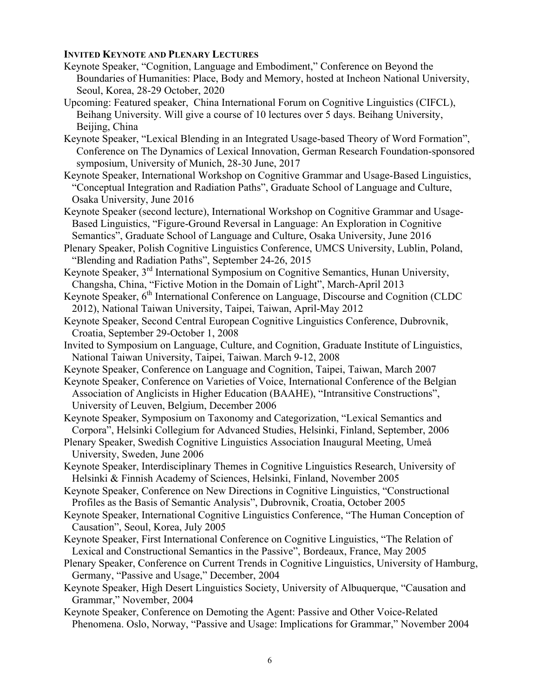## **INVITED KEYNOTE AND PLENARY LECTURES**

- Keynote Speaker, "Cognition, Language and Embodiment," Conference on Beyond the Boundaries of Humanities: Place, Body and Memory, hosted at Incheon National University, Seoul, Korea, 28-29 October, 2020
- Upcoming: Featured speaker, China International Forum on Cognitive Linguistics (CIFCL), Beihang University. Will give a course of 10 lectures over 5 days. Beihang University, Beijing, China
- Keynote Speaker, "Lexical Blending in an Integrated Usage-based Theory of Word Formation", Conference on The Dynamics of Lexical Innovation, German Research Foundation-sponsored symposium, University of Munich, 28-30 June, 2017
- Keynote Speaker, International Workshop on Cognitive Grammar and Usage-Based Linguistics, "Conceptual Integration and Radiation Paths", Graduate School of Language and Culture, Osaka University, June 2016
- Keynote Speaker (second lecture), International Workshop on Cognitive Grammar and Usage-Based Linguistics, "Figure-Ground Reversal in Language: An Exploration in Cognitive Semantics", Graduate School of Language and Culture, Osaka University, June 2016
- Plenary Speaker, Polish Cognitive Linguistics Conference, UMCS University, Lublin, Poland, "Blending and Radiation Paths", September 24-26, 2015
- Keynote Speaker, 3rd International Symposium on Cognitive Semantics, Hunan University, Changsha, China, "Fictive Motion in the Domain of Light", March-April 2013
- Keynote Speaker, 6<sup>th</sup> International Conference on Language, Discourse and Cognition (CLDC) 2012), National Taiwan University, Taipei, Taiwan, April-May 2012
- Keynote Speaker, Second Central European Cognitive Linguistics Conference, Dubrovnik, Croatia, September 29-October 1, 2008
- Invited to Symposium on Language, Culture, and Cognition, Graduate Institute of Linguistics, National Taiwan University, Taipei, Taiwan. March 9-12, 2008
- Keynote Speaker, Conference on Language and Cognition, Taipei, Taiwan, March 2007
- Keynote Speaker, Conference on Varieties of Voice, International Conference of the Belgian Association of Anglicists in Higher Education (BAAHE), "Intransitive Constructions", University of Leuven, Belgium, December 2006
- Keynote Speaker, Symposium on Taxonomy and Categorization, "Lexical Semantics and Corpora", Helsinki Collegium for Advanced Studies, Helsinki, Finland, September, 2006
- Plenary Speaker, Swedish Cognitive Linguistics Association Inaugural Meeting, Umeå University, Sweden, June 2006
- Keynote Speaker, Interdisciplinary Themes in Cognitive Linguistics Research, University of Helsinki & Finnish Academy of Sciences, Helsinki, Finland, November 2005
- Keynote Speaker, Conference on New Directions in Cognitive Linguistics, "Constructional Profiles as the Basis of Semantic Analysis", Dubrovnik, Croatia, October 2005
- Keynote Speaker, International Cognitive Linguistics Conference, "The Human Conception of Causation", Seoul, Korea, July 2005
- Keynote Speaker, First International Conference on Cognitive Linguistics, "The Relation of Lexical and Constructional Semantics in the Passive", Bordeaux, France, May 2005
- Plenary Speaker, Conference on Current Trends in Cognitive Linguistics, University of Hamburg, Germany, "Passive and Usage," December, 2004
- Keynote Speaker, High Desert Linguistics Society, University of Albuquerque, "Causation and Grammar," November, 2004
- Keynote Speaker, Conference on Demoting the Agent: Passive and Other Voice-Related Phenomena. Oslo, Norway, "Passive and Usage: Implications for Grammar," November 2004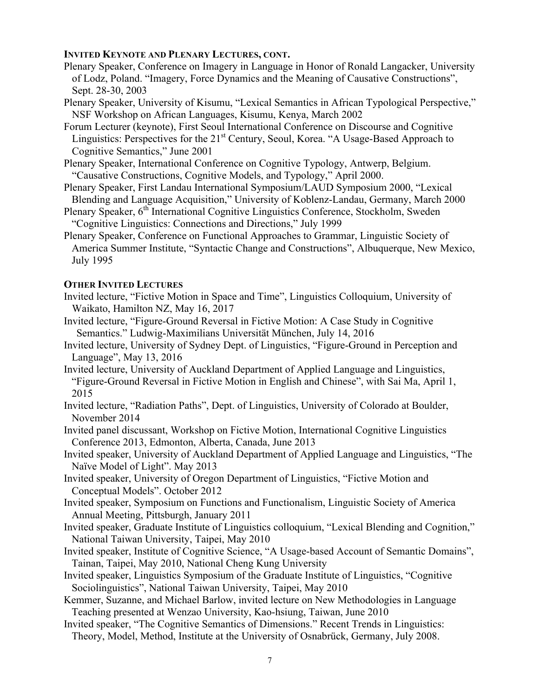### **INVITED KEYNOTE AND PLENARY LECTURES, CONT.**

- Plenary Speaker, Conference on Imagery in Language in Honor of Ronald Langacker, University of Lodz, Poland. "Imagery, Force Dynamics and the Meaning of Causative Constructions", Sept. 28-30, 2003
- Plenary Speaker, University of Kisumu, "Lexical Semantics in African Typological Perspective," NSF Workshop on African Languages, Kisumu, Kenya, March 2002
- Forum Lecturer (keynote), First Seoul International Conference on Discourse and Cognitive Linguistics: Perspectives for the  $21<sup>st</sup>$  Century, Seoul, Korea. "A Usage-Based Approach to Cognitive Semantics," June 2001
- Plenary Speaker, International Conference on Cognitive Typology, Antwerp, Belgium. "Causative Constructions, Cognitive Models, and Typology," April 2000.
- Plenary Speaker, First Landau International Symposium/LAUD Symposium 2000, "Lexical Blending and Language Acquisition," University of Koblenz-Landau, Germany, March 2000
- Plenary Speaker, 6<sup>th</sup> International Cognitive Linguistics Conference, Stockholm, Sweden "Cognitive Linguistics: Connections and Directions," July 1999
- Plenary Speaker, Conference on Functional Approaches to Grammar, Linguistic Society of America Summer Institute, "Syntactic Change and Constructions", Albuquerque, New Mexico, July 1995

## **OTHER INVITED LECTURES**

- Invited lecture, "Fictive Motion in Space and Time", Linguistics Colloquium, University of Waikato, Hamilton NZ, May 16, 2017
- Invited lecture, "Figure-Ground Reversal in Fictive Motion: A Case Study in Cognitive Semantics." Ludwig-Maximilians Universität München, July 14, 2016
- Invited lecture, University of Sydney Dept. of Linguistics, "Figure-Ground in Perception and Language", May 13, 2016
- Invited lecture, University of Auckland Department of Applied Language and Linguistics, "Figure-Ground Reversal in Fictive Motion in English and Chinese", with Sai Ma, April 1, 2015
- Invited lecture, "Radiation Paths", Dept. of Linguistics, University of Colorado at Boulder, November 2014
- Invited panel discussant, Workshop on Fictive Motion, International Cognitive Linguistics Conference 2013, Edmonton, Alberta, Canada, June 2013
- Invited speaker, University of Auckland Department of Applied Language and Linguistics, "The Naïve Model of Light". May 2013
- Invited speaker, University of Oregon Department of Linguistics, "Fictive Motion and Conceptual Models". October 2012
- Invited speaker, Symposium on Functions and Functionalism, Linguistic Society of America Annual Meeting, Pittsburgh, January 2011
- Invited speaker, Graduate Institute of Linguistics colloquium, "Lexical Blending and Cognition," National Taiwan University, Taipei, May 2010
- Invited speaker, Institute of Cognitive Science, "A Usage-based Account of Semantic Domains", Tainan, Taipei, May 2010, National Cheng Kung University
- Invited speaker, Linguistics Symposium of the Graduate Institute of Linguistics, "Cognitive Sociolinguistics", National Taiwan University, Taipei, May 2010
- Kemmer, Suzanne, and Michael Barlow, invited lecture on New Methodologies in Language Teaching presented at Wenzao University, Kao-hsiung, Taiwan, June 2010
- Invited speaker, "The Cognitive Semantics of Dimensions." Recent Trends in Linguistics: Theory, Model, Method, Institute at the University of Osnabrück, Germany, July 2008.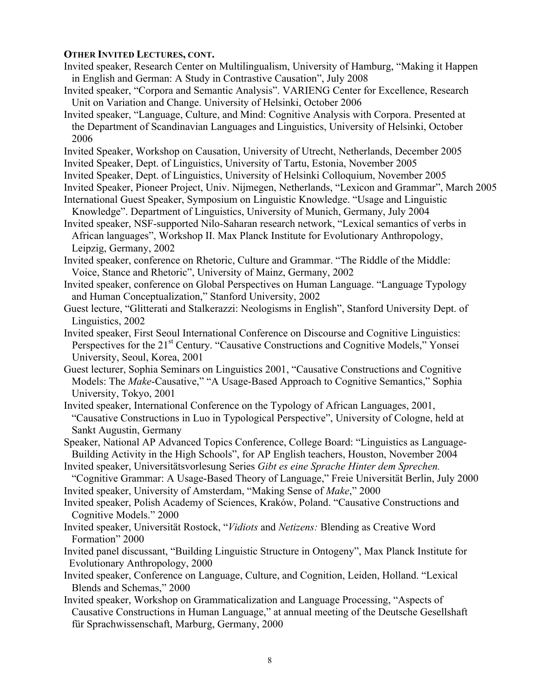### **OTHER INVITED LECTURES, CONT.**

- Invited speaker, Research Center on Multilingualism, University of Hamburg, "Making it Happen in English and German: A Study in Contrastive Causation", July 2008
- Invited speaker, "Corpora and Semantic Analysis". VARIENG Center for Excellence, Research Unit on Variation and Change. University of Helsinki, October 2006
- Invited speaker, "Language, Culture, and Mind: Cognitive Analysis with Corpora. Presented at the Department of Scandinavian Languages and Linguistics, University of Helsinki, October 2006
- Invited Speaker, Workshop on Causation, University of Utrecht, Netherlands, December 2005
- Invited Speaker, Dept. of Linguistics, University of Tartu, Estonia, November 2005
- Invited Speaker, Dept. of Linguistics, University of Helsinki Colloquium, November 2005
- Invited Speaker, Pioneer Project, Univ. Nijmegen, Netherlands, "Lexicon and Grammar", March 2005 International Guest Speaker, Symposium on Linguistic Knowledge. "Usage and Linguistic
- Knowledge". Department of Linguistics, University of Munich, Germany, July 2004
- Invited speaker, NSF-supported Nilo-Saharan research network, "Lexical semantics of verbs in African languages", Workshop II. Max Planck Institute for Evolutionary Anthropology, Leipzig, Germany, 2002
- Invited speaker, conference on Rhetoric, Culture and Grammar. "The Riddle of the Middle: Voice, Stance and Rhetoric", University of Mainz, Germany, 2002
- Invited speaker, conference on Global Perspectives on Human Language. "Language Typology and Human Conceptualization," Stanford University, 2002
- Guest lecture, "Glitterati and Stalkerazzi: Neologisms in English", Stanford University Dept. of Linguistics, 2002
- Invited speaker, First Seoul International Conference on Discourse and Cognitive Linguistics: Perspectives for the 21<sup>st</sup> Century. "Causative Constructions and Cognitive Models," Yonsei University, Seoul, Korea, 2001
- Guest lecturer, Sophia Seminars on Linguistics 2001, "Causative Constructions and Cognitive Models: The *Make*-Causative," "A Usage-Based Approach to Cognitive Semantics," Sophia University, Tokyo, 2001
- Invited speaker, International Conference on the Typology of African Languages, 2001, "Causative Constructions in Luo in Typological Perspective", University of Cologne, held at Sankt Augustin, Germany
- Speaker, National AP Advanced Topics Conference, College Board: "Linguistics as Language-Building Activity in the High Schools", for AP English teachers, Houston, November 2004
- Invited speaker, Universitätsvorlesung Series *Gibt es eine Sprache Hinter dem Sprechen.*  "Cognitive Grammar: A Usage-Based Theory of Language," Freie Universität Berlin, July 2000
- Invited speaker, University of Amsterdam, "Making Sense of *Make*," 2000
- Invited speaker, Polish Academy of Sciences, Kraków, Poland. "Causative Constructions and Cognitive Models." 2000
- Invited speaker, Universität Rostock, "*Vidiots* and *Netizens:* Blending as Creative Word Formation" 2000
- Invited panel discussant, "Building Linguistic Structure in Ontogeny", Max Planck Institute for Evolutionary Anthropology, 2000
- Invited speaker, Conference on Language, Culture, and Cognition, Leiden, Holland. "Lexical Blends and Schemas," 2000
- Invited speaker, Workshop on Grammaticalization and Language Processing, "Aspects of Causative Constructions in Human Language," at annual meeting of the Deutsche Gesellshaft für Sprachwissenschaft, Marburg, Germany, 2000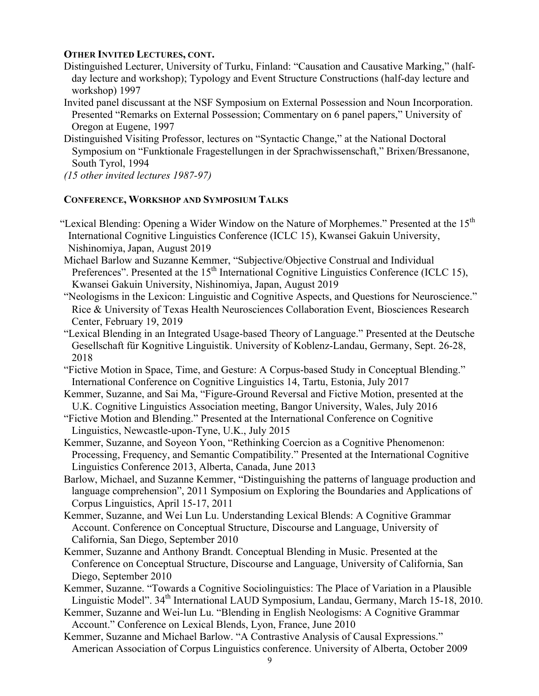## **OTHER INVITED LECTURES, CONT.**

- Distinguished Lecturer, University of Turku, Finland: "Causation and Causative Marking," (halfday lecture and workshop); Typology and Event Structure Constructions (half-day lecture and workshop) 1997
- Invited panel discussant at the NSF Symposium on External Possession and Noun Incorporation. Presented "Remarks on External Possession; Commentary on 6 panel papers," University of Oregon at Eugene, 1997
- Distinguished Visiting Professor, lectures on "Syntactic Change," at the National Doctoral Symposium on "Funktionale Fragestellungen in der Sprachwissenschaft," Brixen/Bressanone, South Tyrol, 1994

*(15 other invited lectures 1987-97)*

## **CONFERENCE, WORKSHOP AND SYMPOSIUM TALKS**

- "Lexical Blending: Opening a Wider Window on the Nature of Morphemes." Presented at the  $15<sup>th</sup>$ International Cognitive Linguistics Conference (ICLC 15), Kwansei Gakuin University, Nishinomiya, Japan, August 2019
- Michael Barlow and Suzanne Kemmer, "Subjective/Objective Construal and Individual Preferences". Presented at the 15<sup>th</sup> International Cognitive Linguistics Conference (ICLC 15), Kwansei Gakuin University, Nishinomiya, Japan, August 2019
- "Neologisms in the Lexicon: Linguistic and Cognitive Aspects, and Questions for Neuroscience." Rice & University of Texas Health Neurosciences Collaboration Event, Biosciences Research Center, February 19, 2019
- "Lexical Blending in an Integrated Usage-based Theory of Language." Presented at the Deutsche Gesellschaft für Kognitive Linguistik. University of Koblenz-Landau, Germany, Sept. 26-28, 2018
- "Fictive Motion in Space, Time, and Gesture: A Corpus-based Study in Conceptual Blending." International Conference on Cognitive Linguistics 14, Tartu, Estonia, July 2017
- Kemmer, Suzanne, and Sai Ma, "Figure-Ground Reversal and Fictive Motion, presented at the U.K. Cognitive Linguistics Association meeting, Bangor University, Wales, July 2016
- "Fictive Motion and Blending." Presented at the International Conference on Cognitive Linguistics, Newcastle-upon-Tyne, U.K., July 2015
- Kemmer, Suzanne, and Soyeon Yoon, "Rethinking Coercion as a Cognitive Phenomenon: Processing, Frequency, and Semantic Compatibility." Presented at the International Cognitive Linguistics Conference 2013, Alberta, Canada, June 2013
- Barlow, Michael, and Suzanne Kemmer, "Distinguishing the patterns of language production and language comprehension", 2011 Symposium on Exploring the Boundaries and Applications of Corpus Linguistics, April 15-17, 2011
- Kemmer, Suzanne, and Wei Lun Lu. Understanding Lexical Blends: A Cognitive Grammar Account. Conference on Conceptual Structure, Discourse and Language, University of California, San Diego, September 2010
- Kemmer, Suzanne and Anthony Brandt. Conceptual Blending in Music. Presented at the Conference on Conceptual Structure, Discourse and Language, University of California, San Diego, September 2010
- Kemmer, Suzanne. "Towards a Cognitive Sociolinguistics: The Place of Variation in a Plausible Linguistic Model", 34<sup>th</sup> International LAUD Symposium, Landau, Germany, March 15-18, 2010.
- Kemmer, Suzanne and Wei-lun Lu. "Blending in English Neologisms: A Cognitive Grammar Account." Conference on Lexical Blends, Lyon, France, June 2010
- Kemmer, Suzanne and Michael Barlow. "A Contrastive Analysis of Causal Expressions." American Association of Corpus Linguistics conference. University of Alberta, October 2009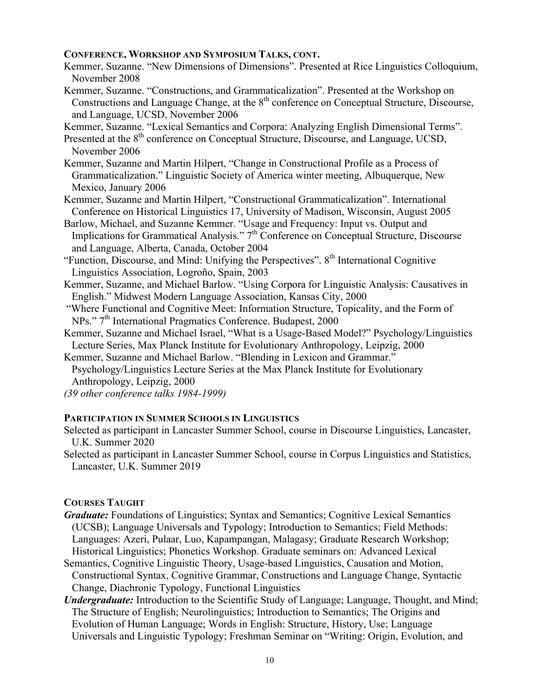## **CONFERENCE, WORKSHOP AND SYMPOSIUM TALKS, CONT.**

- Kemmer, Suzanne. "New Dimensions of Dimensions". Presented at Rice Linguistics Colloquium, November 2008
- Kemmer, Suzanne. "Constructions, and Grammaticalization". Presented at the Workshop on Constructions and Language Change, at the  $8<sup>th</sup>$  conference on Conceptual Structure, Discourse, and Language, UCSD, November 2006
- Kemmer, Suzanne. "Lexical Semantics and Corpora: Analyzing English Dimensional Terms".
- Presented at the 8<sup>th</sup> conference on Conceptual Structure, Discourse, and Language, UCSD, November 2006
- Kemmer, Suzanne and Martin Hilpert, "Change in Constructional Profile as a Process of Grammaticalization." Linguistic Society of America winter meeting, Albuquerque, New Mexico, January 2006
- Kemmer, Suzanne and Martin Hilpert, "Constructional Grammaticalization". International Conference on Historical Linguistics 17, University of Madison, Wisconsin, August 2005
- Barlow, Michael, and Suzanne Kemmer. "Usage and Frequency: Input vs. Output and Implications for Grammatical Analysis."  $7<sup>th</sup>$  Conference on Conceptual Structure, Discourse and Language, Alberta, Canada, October 2004
- "Function, Discourse, and Mind: Unifying the Perspectives". 8<sup>th</sup> International Cognitive Linguistics Association, Logroño, Spain, 2003
- Kemmer, Suzanne, and Michael Barlow. "Using Corpora for Linguistic Analysis: Causatives in English." Midwest Modern Language Association, Kansas City, 2000
- "Where Functional and Cognitive Meet: Information Structure, Topicality, and the Form of NPs." 7<sup>th</sup> International Pragmatics Conference. Budapest, 2000
- Kemmer, Suzanne and Michael Israel, "What is a Usage-Based Model?" Psychology/Linguistics Lecture Series, Max Planck Institute for Evolutionary Anthropology, Leipzig, 2000
- Kemmer, Suzanne and Michael Barlow. "Blending in Lexicon and Grammar."
- Psychology/Linguistics Lecture Series at the Max Planck Institute for Evolutionary Anthropology, Leipzig, 2000
- *(39 other conference talks 1984-1999)*

#### **PARTICIPATION IN SUMMER SCHOOLS IN LINGUISTICS**

- Selected as participant in Lancaster Summer School, course in Discourse Linguistics, Lancaster, U.K. Summer 2020
- Selected as participant in Lancaster Summer School, course in Corpus Linguistics and Statistics, Lancaster, U.K. Summer 2019

#### **COURSES TAUGHT**

- *Graduate:* Foundations of Linguistics; Syntax and Semantics; Cognitive Lexical Semantics (UCSB); Language Universals and Typology; Introduction to Semantics; Field Methods: Languages: Azeri, Pulaar, Luo, Kapampangan, Malagasy; Graduate Research Workshop; Historical Linguistics; Phonetics Workshop. Graduate seminars on: Advanced Lexical
- Semantics, Cognitive Linguistic Theory, Usage-based Linguistics, Causation and Motion, Constructional Syntax, Cognitive Grammar, Constructions and Language Change, Syntactic Change, Diachronic Typology, Functional Linguistics
- *Undergraduate:* Introduction to the Scientific Study of Language; Language, Thought, and Mind; The Structure of English; Neurolinguistics; Introduction to Semantics; The Origins and Evolution of Human Language; Words in English: Structure, History, Use; Language Universals and Linguistic Typology; Freshman Seminar on "Writing: Origin, Evolution, and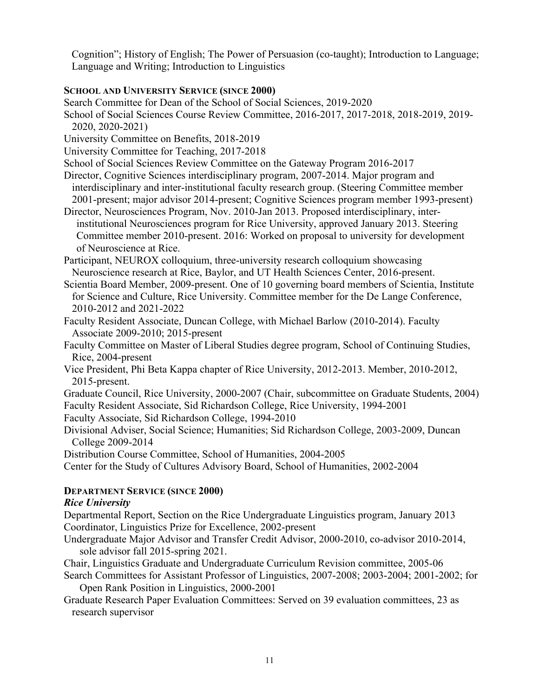Cognition"; History of English; The Power of Persuasion (co-taught); Introduction to Language; Language and Writing; Introduction to Linguistics

# **SCHOOL AND UNIVERSITY SERVICE (SINCE 2000)**

Search Committee for Dean of the School of Social Sciences, 2019-2020

- School of Social Sciences Course Review Committee, 2016-2017, 2017-2018, 2018-2019, 2019- 2020, 2020-2021)
- University Committee on Benefits, 2018-2019
- University Committee for Teaching, 2017-2018

School of Social Sciences Review Committee on the Gateway Program 2016-2017

- Director, Cognitive Sciences interdisciplinary program, 2007-2014. Major program and interdisciplinary and inter-institutional faculty research group. (Steering Committee member 2001-present; major advisor 2014-present; Cognitive Sciences program member 1993-present)
- Director, Neurosciences Program, Nov. 2010-Jan 2013. Proposed interdisciplinary, interinstitutional Neurosciences program for Rice University, approved January 2013. Steering Committee member 2010-present. 2016: Worked on proposal to university for development of Neuroscience at Rice.

Participant, NEUROX colloquium, three-university research colloquium showcasing Neuroscience research at Rice, Baylor, and UT Health Sciences Center, 2016-present.

Scientia Board Member, 2009-present. One of 10 governing board members of Scientia, Institute for Science and Culture, Rice University. Committee member for the De Lange Conference, 2010-2012 and 2021-2022

- Faculty Resident Associate, Duncan College, with Michael Barlow (2010-2014). Faculty Associate 2009-2010; 2015-present
- Faculty Committee on Master of Liberal Studies degree program, School of Continuing Studies, Rice, 2004-present
- Vice President, Phi Beta Kappa chapter of Rice University, 2012-2013. Member, 2010-2012, 2015-present.

Graduate Council, Rice University, 2000-2007 (Chair, subcommittee on Graduate Students, 2004) Faculty Resident Associate, Sid Richardson College, Rice University, 1994-2001

Faculty Associate, Sid Richardson College, 1994-2010

- Divisional Adviser, Social Science; Humanities; Sid Richardson College, 2003-2009, Duncan College 2009-2014
- Distribution Course Committee, School of Humanities, 2004-2005

Center for the Study of Cultures Advisory Board, School of Humanities, 2002-2004

# **DEPARTMENT SERVICE (SINCE 2000)**

# *Rice University*

Departmental Report, Section on the Rice Undergraduate Linguistics program, January 2013 Coordinator, Linguistics Prize for Excellence, 2002-present

- Undergraduate Major Advisor and Transfer Credit Advisor, 2000-2010, co-advisor 2010-2014, sole advisor fall 2015-spring 2021.
- Chair, Linguistics Graduate and Undergraduate Curriculum Revision committee, 2005-06
- Search Committees for Assistant Professor of Linguistics, 2007-2008; 2003-2004; 2001-2002; for Open Rank Position in Linguistics, 2000-2001
- Graduate Research Paper Evaluation Committees: Served on 39 evaluation committees, 23 as research supervisor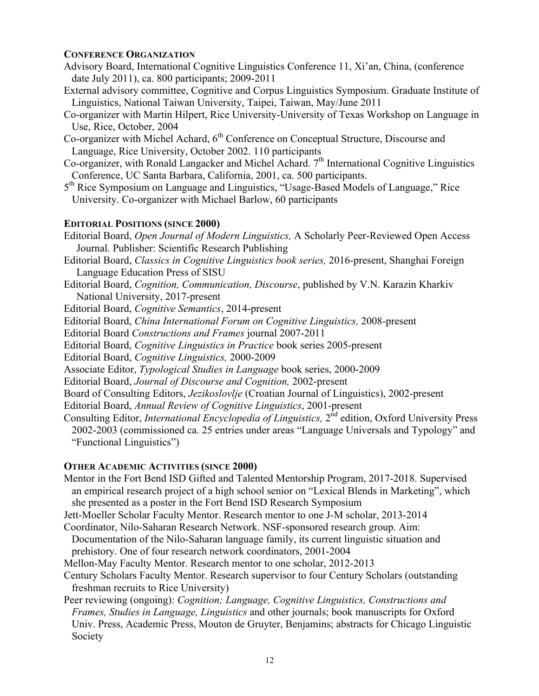# **CONFERENCE ORGANIZATION**

- Advisory Board, International Cognitive Linguistics Conference 11, Xi'an, China, (conference date July 2011), ca. 800 participants; 2009-2011
- External advisory committee, Cognitive and Corpus Linguistics Symposium. Graduate Institute of Linguistics, National Taiwan University, Taipei, Taiwan, May/June 2011
- Co-organizer with Martin Hilpert, Rice University-University of Texas Workshop on Language in Use, Rice, October, 2004
- Co-organizer with Michel Achard, 6<sup>th</sup> Conference on Conceptual Structure, Discourse and Language, Rice University, October 2002. 110 participants
- Co-organizer, with Ronald Langacker and Michel Achard.  $7<sup>th</sup>$  International Cognitive Linguistics Conference, UC Santa Barbara, California, 2001, ca. 500 participants.
- 5<sup>th</sup> Rice Symposium on Language and Linguistics, "Usage-Based Models of Language," Rice University. Co-organizer with Michael Barlow, 60 participants

# **EDITORIAL POSITIONS (SINCE 2000)**

- Editorial Board, *Open Journal of Modern Linguistics,* A Scholarly Peer-Reviewed Open Access Journal. Publisher: Scientific Research Publishing
- Editorial Board, *Classics in Cognitive Linguistics book series,* 2016-present, Shanghai Foreign Language Education Press of SISU
- Editorial Board, *Cognition, Communication, Discourse*, published by V.N. Karazin Kharkiv National University, 2017-present
- Editorial Board, *Cognitive Semantics*, 2014-present
- Editorial Board, *China International Forum on Cognitive Linguistics,* 2008-present
- Editorial Board *Constructions and Frames* journal 2007-2011
- Editorial Board, *Cognitive Linguistics in Practice* book series 2005-present
- Editorial Board, *Cognitive Linguistics,* 2000-2009
- Associate Editor, *Typological Studies in Language* book series, 2000-2009
- Editorial Board, *Journal of Discourse and Cognition,* 2002-present
- Board of Consulting Editors, *Jezikoslovlje* (Croatian Journal of Linguistics), 2002-present
- Editorial Board, *Annual Review of Cognitive Linguistics*, 2001-present
- Consulting Editor, *International Encyclopedia of Linguistics*,  $2^{nd}$  edition, Oxford University Press 2002-2003 (commissioned ca. 25 entries under areas "Language Universals and Typology" and "Functional Linguistics")

# **OTHER ACADEMIC ACTIVITIES (SINCE 2000)**

- Mentor in the Fort Bend ISD Gifted and Talented Mentorship Program, 2017-2018. Supervised an empirical research project of a high school senior on "Lexical Blends in Marketing", which she presented as a poster in the Fort Bend ISD Research Symposium
- Jett-Moeller Scholar Faculty Mentor. Research mentor to one J-M scholar, 2013-2014
- Coordinator, Nilo-Saharan Research Network. NSF-sponsored research group. Aim:
- Documentation of the Nilo-Saharan language family, its current linguistic situation and prehistory. One of four research network coordinators, 2001-2004
- Mellon-May Faculty Mentor. Research mentor to one scholar, 2012-2013
- Century Scholars Faculty Mentor. Research supervisor to four Century Scholars (outstanding freshman recruits to Rice University)
- Peer reviewing (ongoing): *Cognition; Language, Cognitive Linguistics, Constructions and Frames, Studies in Language, Linguistics* and other journals; book manuscripts for Oxford Univ. Press, Academic Press, Mouton de Gruyter, Benjamins; abstracts for Chicago Linguistic Society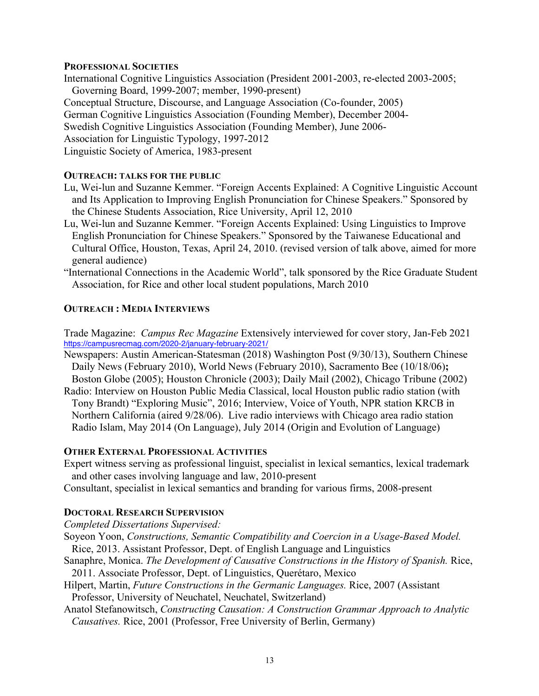### **PROFESSIONAL SOCIETIES**

International Cognitive Linguistics Association (President 2001-2003, re-elected 2003-2005; Governing Board, 1999-2007; member, 1990-present) Conceptual Structure, Discourse, and Language Association (Co-founder, 2005) German Cognitive Linguistics Association (Founding Member), December 2004- Swedish Cognitive Linguistics Association (Founding Member), June 2006- Association for Linguistic Typology, 1997-2012 Linguistic Society of America, 1983-present

### **OUTREACH: TALKS FOR THE PUBLIC**

- Lu, Wei-lun and Suzanne Kemmer. "Foreign Accents Explained: A Cognitive Linguistic Account and Its Application to Improving English Pronunciation for Chinese Speakers." Sponsored by the Chinese Students Association, Rice University, April 12, 2010
- Lu, Wei-lun and Suzanne Kemmer. "Foreign Accents Explained: Using Linguistics to Improve English Pronunciation for Chinese Speakers." Sponsored by the Taiwanese Educational and Cultural Office, Houston, Texas, April 24, 2010. (revised version of talk above, aimed for more general audience)
- "International Connections in the Academic World", talk sponsored by the Rice Graduate Student Association, for Rice and other local student populations, March 2010

### **OUTREACH : MEDIA INTERVIEWS**

Trade Magazine: *Campus Rec Magazine* Extensively interviewed for cover story, Jan-Feb 2021 https://campusrecmag.com/2020-2/january-february-2021/

- Newspapers: Austin American-Statesman (2018) Washington Post (9/30/13), Southern Chinese Daily News (February 2010), World News (February 2010), Sacramento Bee (10/18/06)**;** Boston Globe (2005); Houston Chronicle (2003); Daily Mail (2002), Chicago Tribune (2002)
- Radio: Interview on Houston Public Media Classical, local Houston public radio station (with Tony Brandt) "Exploring Music", 2016; Interview, Voice of Youth, NPR station KRCB in Northern California (aired 9/28/06). Live radio interviews with Chicago area radio station
	- Radio Islam, May 2014 (On Language), July 2014 (Origin and Evolution of Language)

## **OTHER EXTERNAL PROFESSIONAL ACTIVITIES**

Expert witness serving as professional linguist, specialist in lexical semantics, lexical trademark and other cases involving language and law, 2010-present

Consultant, specialist in lexical semantics and branding for various firms, 2008-present

## **DOCTORAL RESEARCH SUPERVISION**

*Completed Dissertations Supervised:*

- Soyeon Yoon, *Constructions, Semantic Compatibility and Coercion in a Usage-Based Model.* Rice, 2013. Assistant Professor, Dept. of English Language and Linguistics
- Sanaphre, Monica. *The Development of Causative Constructions in the History of Spanish.* Rice, 2011. Associate Professor, Dept. of Linguistics, Querétaro, Mexico
- Hilpert, Martin, *Future Constructions in the Germanic Languages.* Rice, 2007 (Assistant Professor, University of Neuchatel, Neuchatel, Switzerland)
- Anatol Stefanowitsch, *Constructing Causation: A Construction Grammar Approach to Analytic Causatives.* Rice, 2001 (Professor, Free University of Berlin, Germany)